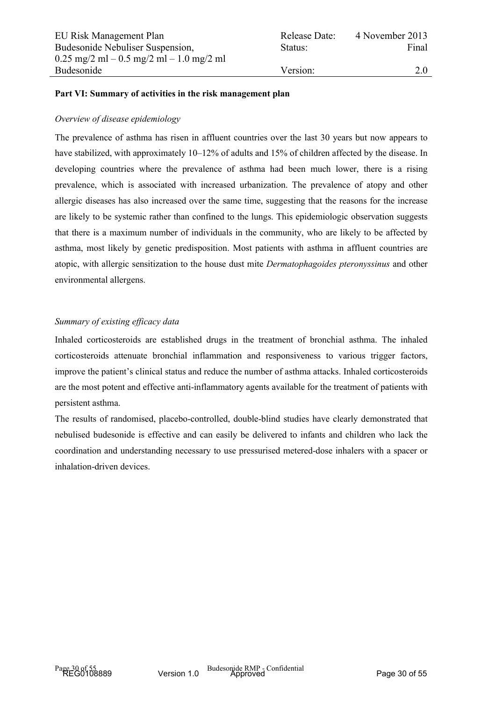## **Part VI: Summary of activities in the risk management plan**

## *Overview of disease epidemiology*

The prevalence of asthma has risen in affluent countries over the last 30 years but now appears to have stabilized, with approximately 10–12% of adults and 15% of children affected by the disease. In developing countries where the prevalence of asthma had been much lower, there is a rising prevalence, which is associated with increased urbanization. The prevalence of atopy and other allergic diseases has also increased over the same time, suggesting that the reasons for the increase are likely to be systemic rather than confined to the lungs. This epidemiologic observation suggests that there is a maximum number of individuals in the community, who are likely to be affected by asthma, most likely by genetic predisposition. Most patients with asthma in affluent countries are atopic, with allergic sensitization to the house dust mite *Dermatophagoides pteronyssinus* and other environmental allergens.

## *Summary of existing efficacy data*

Inhaled corticosteroids are established drugs in the treatment of bronchial asthma. The inhaled corticosteroids attenuate bronchial inflammation and responsiveness to various trigger factors, improve the patient's clinical status and reduce the number of asthma attacks. Inhaled corticosteroids are the most potent and effective anti-inflammatory agents available for the treatment of patients with persistent asthma.

The results of randomised, placebo-controlled, double-blind studies have clearly demonstrated that nebulised budesonide is effective and can easily be delivered to infants and children who lack the coordination and understanding necessary to use pressurised metered-dose inhalers with a spacer or inhalation-driven devices.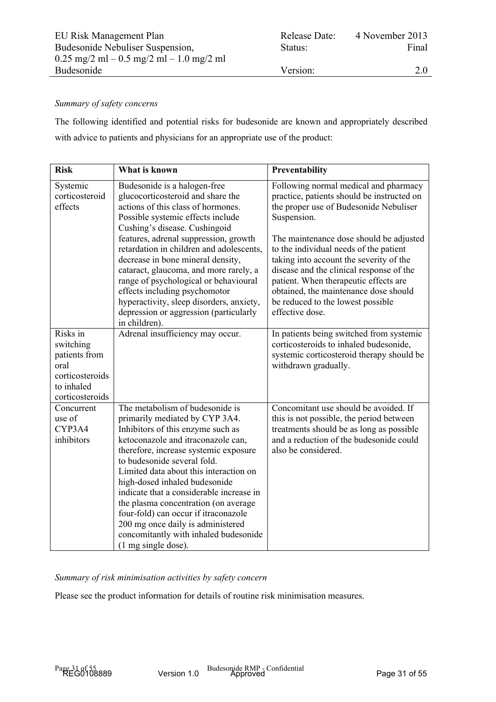## *Summary of safety concerns*

The following identified and potential risks for budesonide are known and appropriately described with advice to patients and physicians for an appropriate use of the product:

| <b>Risk</b>                                                                                        | What is known                                                                                                                                                                                                                                                                                                                                                                                                                                                                                                                    | Preventability                                                                                                                                                                                                                                                                                                     |
|----------------------------------------------------------------------------------------------------|----------------------------------------------------------------------------------------------------------------------------------------------------------------------------------------------------------------------------------------------------------------------------------------------------------------------------------------------------------------------------------------------------------------------------------------------------------------------------------------------------------------------------------|--------------------------------------------------------------------------------------------------------------------------------------------------------------------------------------------------------------------------------------------------------------------------------------------------------------------|
| Systemic<br>corticosteroid<br>effects                                                              | Budesonide is a halogen-free<br>glucocorticosteroid and share the<br>actions of this class of hormones.<br>Possible systemic effects include<br>Cushing's disease. Cushingoid                                                                                                                                                                                                                                                                                                                                                    | Following normal medical and pharmacy<br>practice, patients should be instructed on<br>the proper use of Budesonide Nebuliser<br>Suspension.                                                                                                                                                                       |
|                                                                                                    | features, adrenal suppression, growth<br>retardation in children and adolescents,<br>decrease in bone mineral density,<br>cataract, glaucoma, and more rarely, a<br>range of psychological or behavioural<br>effects including psychomotor<br>hyperactivity, sleep disorders, anxiety,<br>depression or aggression (particularly<br>in children).                                                                                                                                                                                | The maintenance dose should be adjusted<br>to the individual needs of the patient<br>taking into account the severity of the<br>disease and the clinical response of the<br>patient. When therapeutic effects are<br>obtained, the maintenance dose should<br>be reduced to the lowest possible<br>effective dose. |
| Risks in<br>switching<br>patients from<br>oral<br>corticosteroids<br>to inhaled<br>corticosteroids | Adrenal insufficiency may occur.                                                                                                                                                                                                                                                                                                                                                                                                                                                                                                 | In patients being switched from systemic<br>corticosteroids to inhaled budesonide,<br>systemic corticosteroid therapy should be<br>withdrawn gradually.                                                                                                                                                            |
| Concurrent<br>use of<br>CYP3A4<br>inhibitors                                                       | The metabolism of budesonide is<br>primarily mediated by CYP 3A4.<br>Inhibitors of this enzyme such as<br>ketoconazole and itraconazole can,<br>therefore, increase systemic exposure<br>to budesonide several fold.<br>Limited data about this interaction on<br>high-dosed inhaled budesonide<br>indicate that a considerable increase in<br>the plasma concentration (on average<br>four-fold) can occur if itraconazole<br>200 mg once daily is administered<br>concomitantly with inhaled budesonide<br>(1 mg single dose). | Concomitant use should be avoided. If<br>this is not possible, the period between<br>treatments should be as long as possible<br>and a reduction of the budesonide could<br>also be considered.                                                                                                                    |

*Summary of risk minimisation activities by safety concern*

Please see the product information for details of routine risk minimisation measures.